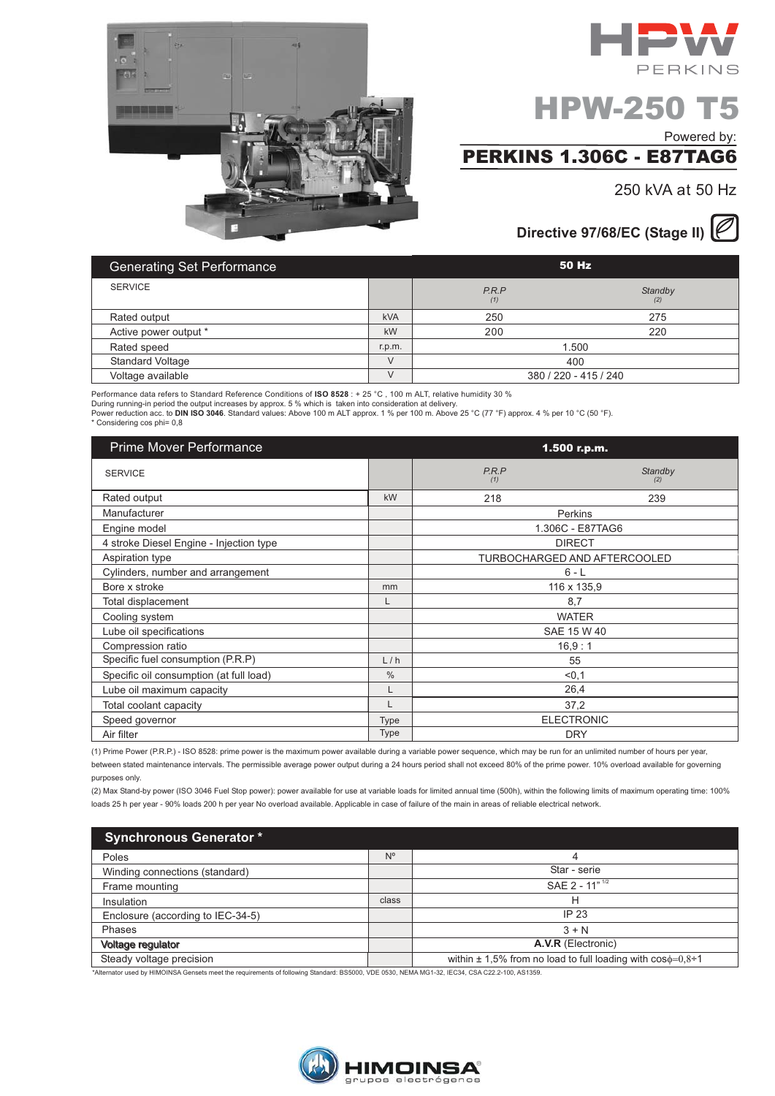



# **HPW-250 T5**

Powered by:

## **PERKINS 1.306C - E87TAG6**

250 kVA at 50 Hz

### Directive 97/68/EC (Stage II)

| <b>Generating Set Performance</b> |            | 50 Hz                 |                |
|-----------------------------------|------------|-----------------------|----------------|
| <b>SERVICE</b>                    |            | P.R.P<br>(1)          | Standby<br>(2) |
| Rated output                      | <b>kVA</b> | 250                   | 275            |
| Active power output *             | kW         | 200                   | 220            |
| Rated speed                       | r.p.m.     | 1.500                 |                |
| <b>Standard Voltage</b>           | $\vee$     | 400                   |                |
| Voltage available                 | $\vee$     | 380 / 220 - 415 / 240 |                |

Performance data refers to Standard Reference Conditions of ISO 8528 : + 25 °C, 100 m ALT, relative humidity 30 % During running-in period the output increases by approx. 5 % which is taken into consideration at delivery.<br>Power reduction acc. to DIN ISO 3046. Standard values: Above 100 m ALT approx. 1 % per 100 m. Above 25 °C (77 °F) \* Considering cos phi= 0,8

| <b>Prime Mover Performance</b>          |               |              | 1.500 r.p.m.                 |
|-----------------------------------------|---------------|--------------|------------------------------|
| <b>SERVICE</b>                          |               | P.R.P<br>(1) | Standby<br>(2)               |
| Rated output                            | kW            | 218          | 239                          |
| Manufacturer                            |               |              | Perkins                      |
| Engine model                            |               |              | 1.306C - E87TAG6             |
| 4 stroke Diesel Engine - Injection type |               |              | <b>DIRECT</b>                |
| Aspiration type                         |               |              | TURBOCHARGED AND AFTERCOOLED |
| Cylinders, number and arrangement       |               |              | $6 - L$                      |
| Bore x stroke                           | mm            |              | 116 x 135,9                  |
| Total displacement                      | L             |              | 8,7                          |
| Cooling system                          |               |              | <b>WATER</b>                 |
| Lube oil specifications                 |               |              | SAE 15 W 40                  |
| Compression ratio                       |               |              | 16,9:1                       |
| Specific fuel consumption (P.R.P)       | L/h           |              | 55                           |
| Specific oil consumption (at full load) | $\frac{0}{0}$ |              | < 0, 1                       |
| Lube oil maximum capacity               | L             |              | 26,4                         |
| Total coolant capacity                  | L             |              | 37,2                         |
| Speed governor                          | <b>Type</b>   |              | <b>ELECTRONIC</b>            |
| Air filter                              | <b>Type</b>   |              | <b>DRY</b>                   |

(1) Prime Power (P.R.P.) - ISO 8528: prime power is the maximum power available during a variable power sequence, which may be run for an unlimited number of hours per year, between stated maintenance intervals. The permissible average power output during a 24 hours period shall not exceed 80% of the prime power. 10% overload available for governing purposes only.

(2) Max Stand-by power (ISO 3046 Fuel Stop power): power available for use at variable loads for limited annual time (500h), within the following limits of maximum operating time: 100% loads 25 h per year - 90% loads 200 h per year No overload available. Applicable in case of failure of the main in areas of reliable electrical network.

| <b>Synchronous Generator *</b>    |             |                                                                         |
|-----------------------------------|-------------|-------------------------------------------------------------------------|
| Poles                             | $N^{\circ}$ |                                                                         |
| Winding connections (standard)    |             | Star - serie                                                            |
| Frame mounting                    |             | SAE 2 - 11" <sup>1/2</sup>                                              |
| Insulation                        | class       | н                                                                       |
| Enclosure (according to IEC-34-5) |             | IP 23                                                                   |
| Phases                            |             | $3 + N$                                                                 |
| <b>Voltage regulator</b>          |             | A.V.R (Electronic)                                                      |
| Steady voltage precision          |             | within $\pm$ 1,5% from no load to full loading with $\cos\phi=0.8\div1$ |

Alternator used by HIMOINSA Gensets meet the requirements of following Standard: BS5000, VDE 0530, NEMA MG1-32, IEC34, CSA C22.2-100, AS1359